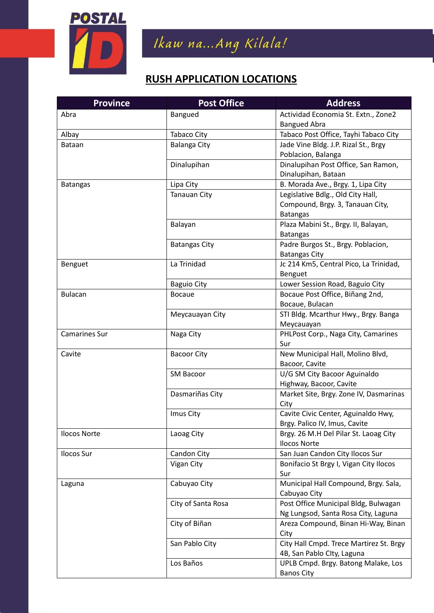

Ikaw na...Ang Kilala!

## **RUSH APPLICATION LOCATIONS**

| <b>Province</b>      | <b>Post Office</b>   | <b>Address</b>                          |
|----------------------|----------------------|-----------------------------------------|
| Abra                 | Bangued              | Actividad Economia St. Extn., Zone2     |
|                      |                      | <b>Bangued Abra</b>                     |
| Albay                | Tabaco City          | Tabaco Post Office, Tayhi Tabaco City   |
| <b>Bataan</b>        | <b>Balanga City</b>  | Jade Vine Bldg. J.P. Rizal St., Brgy    |
|                      |                      | Poblacion, Balanga                      |
|                      | Dinalupihan          | Dinalupihan Post Office, San Ramon,     |
|                      |                      | Dinalupihan, Bataan                     |
| <b>Batangas</b>      | Lipa City            | B. Morada Ave., Brgy. 1, Lipa City      |
|                      | <b>Tanauan City</b>  | Legislative Bdlg., Old City Hall,       |
|                      |                      | Compound, Brgy. 3, Tanauan City,        |
|                      |                      | <b>Batangas</b>                         |
|                      | Balayan              | Plaza Mabini St., Brgy. II, Balayan,    |
|                      |                      | <b>Batangas</b>                         |
|                      | <b>Batangas City</b> | Padre Burgos St., Brgy. Poblacion,      |
|                      |                      | <b>Batangas City</b>                    |
| Benguet              | La Trinidad          | Jc 214 Km5, Central Pico, La Trinidad,  |
|                      |                      | Benguet                                 |
|                      | <b>Baguio City</b>   | Lower Session Road, Baguio City         |
| <b>Bulacan</b>       | <b>Bocaue</b>        | Bocaue Post Office, Biñang 2nd,         |
|                      |                      | Bocaue, Bulacan                         |
|                      | Meycauayan City      | STI Bldg. Mcarthur Hwy., Brgy. Banga    |
|                      |                      | Meycauayan                              |
| <b>Camarines Sur</b> | Naga City            | PHLPost Corp., Naga City, Camarines     |
|                      |                      | Sur                                     |
| Cavite               | <b>Bacoor City</b>   | New Municipal Hall, Molino Blvd,        |
|                      |                      | Bacoor, Cavite                          |
|                      | SM Bacoor            | U/G SM City Bacoor Aguinaldo            |
|                      |                      | Highway, Bacoor, Cavite                 |
|                      | Dasmariñas City      | Market Site, Brgy. Zone IV, Dasmarinas  |
|                      |                      | City                                    |
|                      | Imus City            | Cavite Civic Center, Aguinaldo Hwy,     |
|                      |                      | Brgy. Palico IV, Imus, Cavite           |
| <b>Ilocos Norte</b>  | Laoag City           | Brgy. 26 M.H Del Pilar St. Laoag City   |
|                      |                      | <b>Ilocos Norte</b>                     |
| Ilocos Sur           | Candon City          | San Juan Candon City Ilocos Sur         |
|                      | Vigan City           | Bonifacio St Brgy I, Vigan City Ilocos  |
|                      |                      | Sur                                     |
| Laguna               | Cabuyao City         | Municipal Hall Compound, Brgy. Sala,    |
|                      |                      | Cabuyao City                            |
|                      | City of Santa Rosa   | Post Office Municipal Bldg, Bulwagan    |
|                      |                      | Ng Lungsod, Santa Rosa City, Laguna     |
|                      | City of Biñan        | Areza Compound, Binan Hi-Way, Binan     |
|                      |                      | City                                    |
|                      | San Pablo City       | City Hall Cmpd. Trece Martirez St. Brgy |
|                      |                      | 4B, San Pablo Clty, Laguna              |
|                      | Los Baños            | UPLB Cmpd. Brgy. Batong Malake, Los     |
|                      |                      | <b>Banos City</b>                       |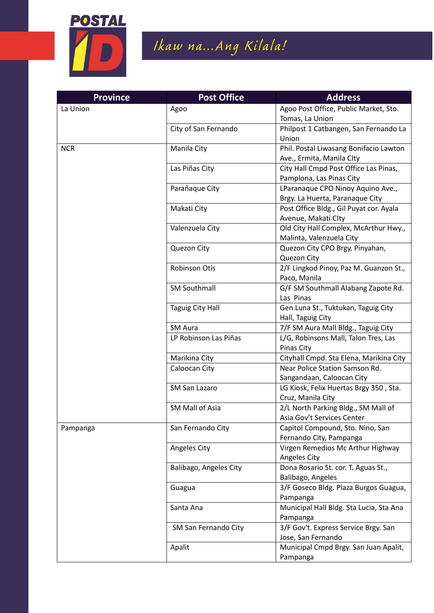

## Ikaw na...Ang Kilala!

| <b>Province</b> | <b>Post Office</b>     | <b>Address</b>                                                 |
|-----------------|------------------------|----------------------------------------------------------------|
| La Union        | Agoo                   | Agoo Post Office, Public Market, Sto.                          |
|                 |                        | Tomas, La Union                                                |
|                 | City of San Fernando   | Philpost 1 Catbangen, San Fernando La                          |
|                 |                        | Union                                                          |
| <b>NCR</b>      | Manila City            | Phil. Postal Liwasang Bonifacio Lawton                         |
|                 |                        | Ave., Ermita, Manila Clty                                      |
|                 | Las Piñas City         | City Hall Cmpd Post Office Las Pinas,                          |
|                 |                        | Pamplona, Las Pinas City                                       |
|                 | Parañaque City         | LParanaque CPO Ninoy Aquino Ave.,                              |
|                 | Makati City            | Brgy. La Huerta, Paranaque City                                |
|                 |                        | Post Office Bldg., Gil Puyat cor. Ayala<br>Avenue, Makati Clty |
|                 | Valenzuela City        | Old City Hall Complex, McArthur Hwy.,                          |
|                 |                        | Malinta, Valenzuela City                                       |
|                 | Quezon City            | Quezon City CPO Brgy. Pinyahan,                                |
|                 |                        | Quezon City                                                    |
|                 | Robinson Otis          | 2/F Lingkod Pinoy, Paz M. Guanzon St.,                         |
|                 |                        | Paco, Manila                                                   |
|                 | <b>SM Southmall</b>    | G/F SM Southmall Alabang Zapote Rd.                            |
|                 |                        | Las Pinas                                                      |
|                 | Taguig City Hall       | Gen Luna St., Tuktukan, Taguig City                            |
|                 |                        | Hall, Taguig City                                              |
|                 | <b>SM Aura</b>         | 7/F SM Aura Mall Bldg., Taguig City                            |
|                 | LP Robinson Las Piñas  | L/G, Robinsons Mall, Talon Tres, Las                           |
|                 |                        | Pinas City                                                     |
|                 | Marikina City          | Cityhall Cmpd. Sta Elena, Marikina City                        |
|                 | Caloocan City          | Near Police Station Samson Rd.<br>Sangandaan, Caloocan City    |
|                 | SM San Lazaro          | LG Kiosk, Felix Huertas Brgy 350, Sta.                         |
|                 |                        | Cruz, Manila City                                              |
|                 | SM Mall of Asia        | 2/L North Parking Bldg., SM Mall of                            |
|                 |                        | Asia Gov't Services Center                                     |
| Pampanga        | San Fernando City      | Capitol Compound, Sto. Nino, San                               |
|                 |                        | Fernando City, Pampanga                                        |
|                 | Angeles City           | Virgen Remedios Mc Arthur Highway                              |
|                 |                        | Angeles City                                                   |
|                 | Balibago, Angeles City | Dona Rosario St. cor. T. Aguas St.,                            |
|                 |                        | Balibago, Angeles                                              |
|                 | Guagua                 | 3/F Goseco Bldg. Plaza Burgos Guagua,                          |
|                 |                        | Pampanga                                                       |
|                 | Santa Ana              | Municipal Hall Bldg. Sta Lucia, Sta Ana                        |
|                 |                        | Pampanga                                                       |
|                 | SM San Fernando City   | 3/F Gov't. Express Service Brgy. San                           |
|                 |                        | Jose, San Fernando                                             |
|                 | Apalit                 | Municipal Cmpd Brgy. San Juan Apalit,<br>Pampanga              |
|                 |                        |                                                                |